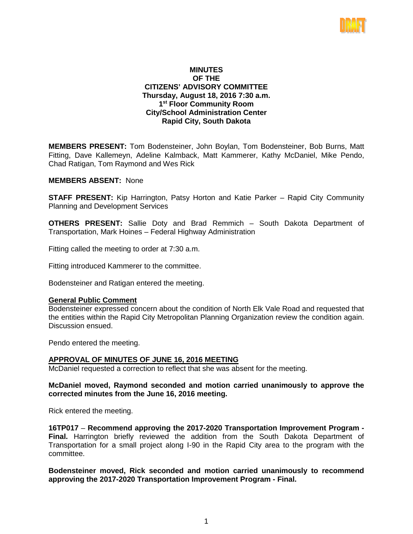

# **MINUTES OF THE CITIZENS' ADVISORY COMMITTEE Thursday, August 18, 2016 7:30 a.m. 1st Floor Community Room City/School Administration Center Rapid City, South Dakota**

**MEMBERS PRESENT:** Tom Bodensteiner, John Boylan, Tom Bodensteiner, Bob Burns, Matt Fitting, Dave Kallemeyn, Adeline Kalmback, Matt Kammerer, Kathy McDaniel, Mike Pendo, Chad Ratigan, Tom Raymond and Wes Rick

## **MEMBERS ABSENT:** None

**STAFF PRESENT:** Kip Harrington, Patsy Horton and Katie Parker – Rapid City Community Planning and Development Services

**OTHERS PRESENT:** Sallie Doty and Brad Remmich – South Dakota Department of Transportation, Mark Hoines – Federal Highway Administration

Fitting called the meeting to order at 7:30 a.m.

Fitting introduced Kammerer to the committee.

Bodensteiner and Ratigan entered the meeting.

#### **General Public Comment**

Bodensteiner expressed concern about the condition of North Elk Vale Road and requested that the entities within the Rapid City Metropolitan Planning Organization review the condition again. Discussion ensued.

Pendo entered the meeting.

#### **APPROVAL OF MINUTES OF JUNE 16, 2016 MEETING**

McDaniel requested a correction to reflect that she was absent for the meeting.

# **McDaniel moved, Raymond seconded and motion carried unanimously to approve the corrected minutes from the June 16, 2016 meeting.**

Rick entered the meeting.

**16TP017** – **Recommend approving the 2017-2020 Transportation Improvement Program - Final.** Harrington briefly reviewed the addition from the South Dakota Department of Transportation for a small project along I-90 in the Rapid City area to the program with the committee.

**Bodensteiner moved, Rick seconded and motion carried unanimously to recommend approving the 2017-2020 Transportation Improvement Program - Final.**